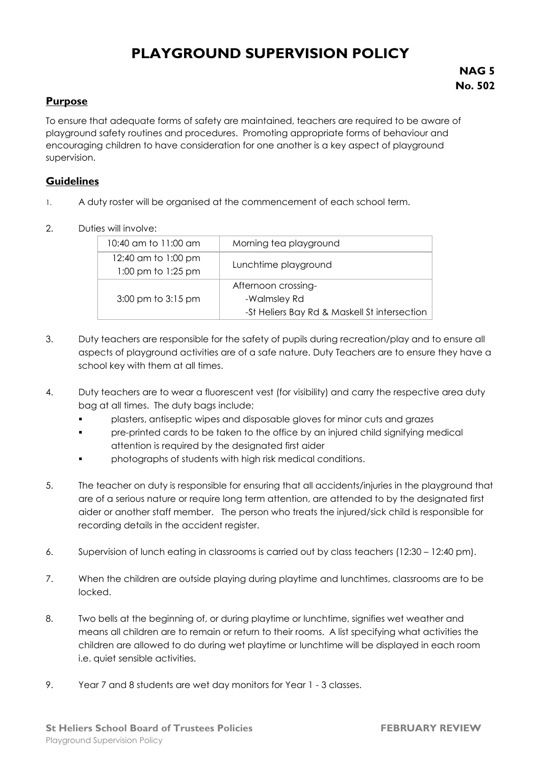## **PLAYGROUND SUPERVISION POLICY**

## **Purpose**

To ensure that adequate forms of safety are maintained, teachers are required to be aware of playground safety routines and procedures. Promoting appropriate forms of behaviour and encouraging children to have consideration for one another is a key aspect of playground supervision.

## **Guidelines**

- 1. A duty roster will be organised at the commencement of each school term.
- 2. Duties will involve:

| 10:40 am to 11:00 am                      | Morning tea playground                                                              |
|-------------------------------------------|-------------------------------------------------------------------------------------|
| 12:40 am to 1:00 pm<br>1:00 pm to 1:25 pm | Lunchtime playground                                                                |
| 3:00 pm to 3:15 pm                        | Afternoon crossing-<br>-Walmsley Rd<br>-St Heliers Bay Rd & Maskell St intersection |

- 3. Duty teachers are responsible for the safety of pupils during recreation/play and to ensure all aspects of playground activities are of a safe nature. Duty Teachers are to ensure they have a school key with them at all times.
- 4. Duty teachers are to wear a fluorescent vest (for visibility) and carry the respective area duty bag at all times. The duty bags include;
	- plasters, antiseptic wipes and disposable gloves for minor cuts and grazes
	- pre-printed cards to be taken to the office by an injured child signifying medical attention is required by the designated first aider
	- photographs of students with high risk medical conditions.
- 5. The teacher on duty is responsible for ensuring that all accidents/injuries in the playground that are of a serious nature or require long term attention, are attended to by the designated first aider or another staff member.The person who treats the injured/sick child is responsible for recording details in the accident register.
- 6. Supervision of lunch eating in classrooms is carried out by class teachers (12:30 12:40 pm).
- 7. When the children are outside playing during playtime and lunchtimes, classrooms are to be locked.
- 8. Two bells at the beginning of, or during playtime or lunchtime, signifies wet weather and means all children are to remain or return to their rooms. A list specifying what activities the children are allowed to do during wet playtime or lunchtime will be displayed in each room i.e. quiet sensible activities.
- 9. Year 7 and 8 students are wet day monitors for Year 1 3 classes.